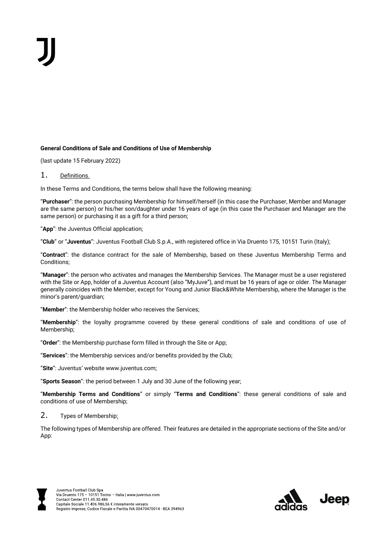## **General Conditions of Sale and Conditions of Use of Membership**

(last update 15 February 2022)

# 1. Definitions.

In these Terms and Conditions, the terms below shall have the following meaning:

"**Purchaser**": the person purchasing Membership for himself/herself (in this case the Purchaser, Member and Manager are the same person) or his/her son/daughter under 16 years of age (in this case the Purchaser and Manager are the same person) or purchasing it as a gift for a third person;

"**App**": the Juventus Official application;

"**Club**" or "**Juventus**": Juventus Football Club S.p.A., with registered office in Via Druento 175, 10151 Turin (Italy);

"**Contract**": the distance contract for the sale of Membership, based on these Juventus Membership Terms and Conditions;

"**Manager**": the person who activates and manages the Membership Services. The Manager must be a user registered with the Site or App, holder of a Juventus Account (also "MyJuve"), and must be 16 years of age or older. The Manager generally coincides with the Member, except for Young and Junior Black&White Membership, where the Manager is the minor's parent/guardian;

"**Member**": the Membership holder who receives the Services;

"**Membership**": the loyalty programme covered by these general conditions of sale and conditions of use of Membership;

"**Order**": the Membership purchase form filled in through the Site or App;

"**Services**": the Membership services and/or benefits provided by the Club;

"**Site**": Juventus' website www.juventus.com;

"**Sports Season**": the period between 1 July and 30 June of the following year;

"**Membership Terms and Conditions**" or simply "**Terms and Conditions**": these general conditions of sale and conditions of use of Membership;

## 2. Types of Membership:

The following types of Membership are offered. Their features are detailed in the appropriate sections of the Site and/or App:



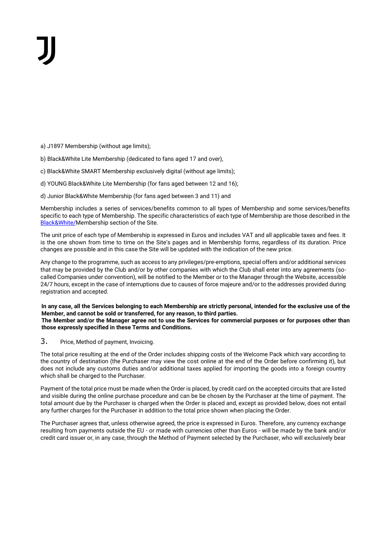a) J1897 Membership (without age limits);

b) Black&White Lite Membership (dedicated to fans aged 17 and over),

c) Black&White SMART Membership exclusively digital (without age limits);

d) YOUNG Black&White Lite Membership (for fans aged between 12 and 16);

d) Junior Black&White Membership (for fans aged between 3 and 11) and

Membership includes a series of services/benefits common to all types of Membership and some services/benefits specific to each type of Membership. The specific characteristics of each type of Membership are those described in the [Black&White/M](https://www.juventus.com/it/bianconeri/)embership section of the Site.

The unit price of each type of Membership is expressed in Euros and includes VAT and all applicable taxes and fees. It is the one shown from time to time on the Site's pages and in Membership forms, regardless of its duration. Price changes are possible and in this case the Site will be updated with the indication of the new price.

Any change to the programme, such as access to any privileges/pre-emptions, special offers and/or additional services that may be provided by the Club and/or by other companies with which the Club shall enter into any agreements (socalled Companies under convention), will be notified to the Member or to the Manager through the Website, accessible 24/7 hours, except in the case of interruptions due to causes of force majeure and/or to the addresses provided during registration and accepted.

**In any case, all the Services belonging to each Membership are strictly personal, intended for the exclusive use of the Member, and cannot be sold or transferred, for any reason, to third parties. The Member and/or the Manager agree not to use the Services for commercial purposes or for purposes other than those expressly specified in these Terms and Conditions.**

3. Price, Method of payment, Invoicing.

The total price resulting at the end of the Order includes shipping costs of the Welcome Pack which vary according to the country of destination (the Purchaser may view the cost online at the end of the Order before confirming it), but does not include any customs duties and/or additional taxes applied for importing the goods into a foreign country which shall be charged to the Purchaser.

Payment of the total price must be made when the Order is placed, by credit card on the accepted circuits that are listed and visible during the online purchase procedure and can be be chosen by the Purchaser at the time of payment. The total amount due by the Purchaser is charged when the Order is placed and, except as provided below, does not entail any further charges for the Purchaser in addition to the total price shown when placing the Order.

The Purchaser agrees that, unless otherwise agreed, the price is expressed in Euros. Therefore, any currency exchange resulting from payments outside the EU - or made with currencies other than Euros - will be made by the bank and/or credit card issuer or, in any case, through the Method of Payment selected by the Purchaser, who will exclusively bear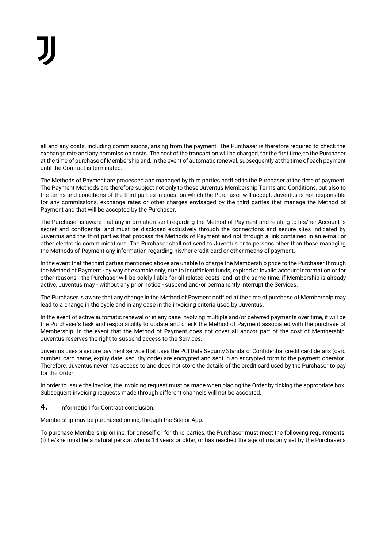all and any costs, including commissions, arising from the payment. The Purchaser is therefore required to check the exchange rate and any commission costs. The cost of the transaction will be charged, for the first time, to the Purchaser at the time of purchase of Membership and, in the event of automatic renewal, subsequently at the time of each payment until the Contract is terminated.

The Methods of Payment are processed and managed by third parties notified to the Purchaser at the time of payment. The Payment Methods are therefore subject not only to these Juventus Membership Terms and Conditions, but also to the terms and conditions of the third parties in question which the Purchaser will accept. Juventus is not responsible for any commissions, exchange rates or other charges envisaged by the third parties that manage the Method of Payment and that will be accepted by the Purchaser.

The Purchaser is aware that any information sent regarding the Method of Payment and relating to his/her Account is secret and confidential and must be disclosed exclusively through the connections and secure sites indicated by Juventus and the third parties that process the Methods of Payment and not through a link contained in an e-mail or other electronic communications. The Purchaser shall not send to Juventus or to persons other than those managing the Methods of Payment any information regarding his/her credit card or other means of payment.

In the event that the third parties mentioned above are unable to charge the Membership price to the Purchaser through the Method of Payment - by way of example only, due to insufficient funds, expired or invalid account information or for other reasons - the Purchaser will be solely liable for all related costs and, at the same time, if Membership is already active, Juventus may - without any prior notice - suspend and/or permanently interrupt the Services.

The Purchaser is aware that any change in the Method of Payment notified at the time of purchase of Membership may lead to a change in the cycle and in any case in the invoicing criteria used by Juventus.

In the event of active automatic renewal or in any case involving multiple and/or deferred payments over time, it will be the Purchaser's task and responsibility to update and check the Method of Payment associated with the purchase of Membership. In the event that the Method of Payment does not cover all and/or part of the cost of Membership, Juventus reserves the right to suspend access to the Services.

Juventus uses a secure payment service that uses the PCI Data Security Standard. Confidential credit card details (card number, card name, expiry date, security code) are encrypted and sent in an encrypted form to the payment operator. Therefore, Juventus never has access to and does not store the details of the credit card used by the Purchaser to pay for the Order.

In order to issue the invoice, the invoicing request must be made when placing the Order by ticking the appropriate box. Subsequent invoicing requests made through different channels will not be accepted.

4. Information for Contract conclusion.

Membership may be purchased online, through the Site or App.

To purchase Membership online, for oneself or for third parties, the Purchaser must meet the following requirements: (i) he/she must be a natural person who is 18 years or older, or has reached the age of majority set by the Purchaser's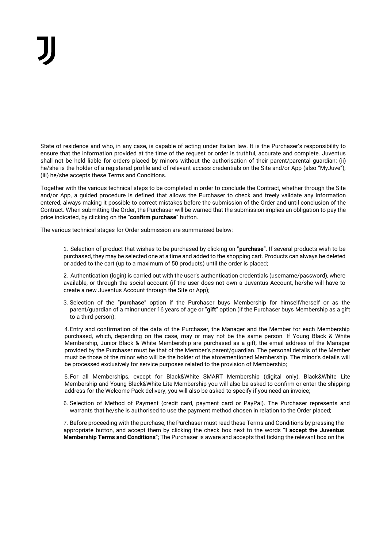State of residence and who, in any case, is capable of acting under Italian law. It is the Purchaser's responsibility to ensure that the information provided at the time of the request or order is truthful, accurate and complete. Juventus shall not be held liable for orders placed by minors without the authorisation of their parent/parental guardian; (ii) he/she is the holder of a registered profile and of relevant access credentials on the Site and/or App (also "MyJuve"); (iii) he/she accepts these Terms and Conditions.

Together with the various technical steps to be completed in order to conclude the Contract, whether through the Site and/or App, a guided procedure is defined that allows the Purchaser to check and freely validate any information entered, always making it possible to correct mistakes before the submission of the Order and until conclusion of the Contract. When submitting the Order, the Purchaser will be warned that the submission implies an obligation to pay the price indicated, by clicking on the "**confirm purchase**" button.

The various technical stages for Order submission are summarised below:

1. Selection of product that wishes to be purchased by clicking on "**purchase**". If several products wish to be purchased, they may be selected one at a time and added to the shopping cart. Products can always be deleted or added to the cart (up to a maximum of 50 products) until the order is placed;

2. Authentication (login) is carried out with the user's authentication credentials (username/password), where available, or through the social account (if the user does not own a Juventus Account, he/she will have to create a new Juventus Account through the Site or App);

3. Selection of the "**purchase**" option if the Purchaser buys Membership for himself/herself or as the parent/guardian of a minor under 16 years of age or "**gift**" option (if the Purchaser buys Membership as a gift to a third person);

4. Entry and confirmation of the data of the Purchaser, the Manager and the Member for each Membership purchased, which, depending on the case, may or may not be the same person. If Young Black & White Membership, Junior Black & White Membership are purchased as a gift, the email address of the Manager provided by the Purchaser must be that of the Member's parent/guardian. The personal details of the Member must be those of the minor who will be the holder of the aforementioned Membership. The minor's details will be processed exclusively for service purposes related to the provision of Membership;

5. For all Memberships, except for Black&White SMART Membership (digital only), Black&White Lite Membership and Young Black&White Lite Membership you will also be asked to confirm or enter the shipping address for the Welcome Pack delivery; you will also be asked to specify if you need an invoice;

6. Selection of Method of Payment (credit card, payment card or PayPal). The Purchaser represents and warrants that he/she is authorised to use the payment method chosen in relation to the Order placed;

7. Before proceeding with the purchase, the Purchaser must read these Terms and Conditions by pressing the appropriate button, and accept them by clicking the check box next to the words "**I accept the Juventus Membership Terms and Conditions**"; The Purchaser is aware and accepts that ticking the relevant box on the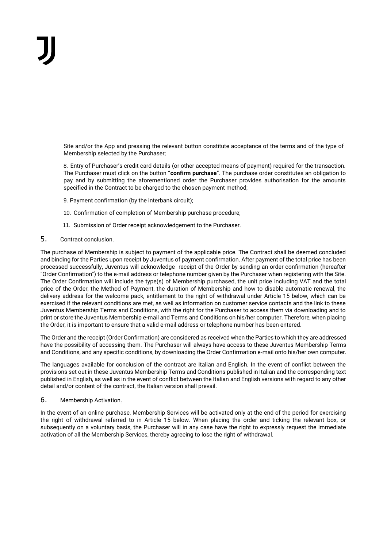Site and/or the App and pressing the relevant button constitute acceptance of the terms and of the type of Membership selected by the Purchaser;

8. Entry of Purchaser's credit card details (or other accepted means of payment) required for the transaction. The Purchaser must click on the button "**confirm purchase**". The purchase order constitutes an obligation to pay and by submitting the aforementioned order the Purchaser provides authorisation for the amounts specified in the Contract to be charged to the chosen payment method;

- 9. Payment confirmation (by the interbank circuit);
- 10. Confirmation of completion of Membership purchase procedure;
- 11. Submission of Order receipt acknowledgement to the Purchaser.

## 5. Contract conclusion.

The purchase of Membership is subject to payment of the applicable price. The Contract shall be deemed concluded and binding for the Parties upon receipt by Juventus of payment confirmation. After payment of the total price has been processed successfully, Juventus will acknowledge receipt of the Order by sending an order confirmation (hereafter "Order Confirmation") to the e-mail address or telephone number given by the Purchaser when registering with the Site. The Order Confirmation will include the type(s) of Membership purchased, the unit price including VAT and the total price of the Order, the Method of Payment, the duration of Membership and how to disable automatic renewal, the delivery address for the welcome pack, entitlement to the right of withdrawal under Article 15 below, which can be exercised if the relevant conditions are met, as well as information on customer service contacts and the link to these Juventus Membership Terms and Conditions, with the right for the Purchaser to access them via downloading and to print or store the Juventus Membership e-mail and Terms and Conditions on his/her computer. Therefore, when placing the Order, it is important to ensure that a valid e-mail address or telephone number has been entered.

The Order and the receipt (Order Confirmation) are considered as received when the Parties to which they are addressed have the possibility of accessing them. The Purchaser will always have access to these Juventus Membership Terms and Conditions, and any specific conditions, by downloading the Order Confirmation e-mail onto his/her own computer.

The languages available for conclusion of the contract are Italian and English. In the event of conflict between the provisions set out in these Juventus Membership Terms and Conditions published in Italian and the corresponding text published in English, as well as in the event of conflict between the Italian and English versions with regard to any other detail and/or content of the contract, the Italian version shall prevail.

## 6. Membership Activation.

In the event of an online purchase, Membership Services will be activated only at the end of the period for exercising the right of withdrawal referred to in Article 15 below. When placing the order and ticking the relevant box, or subsequently on a voluntary basis, the Purchaser will in any case have the right to expressly request the immediate activation of all the Membership Services, thereby agreeing to lose the right of withdrawal.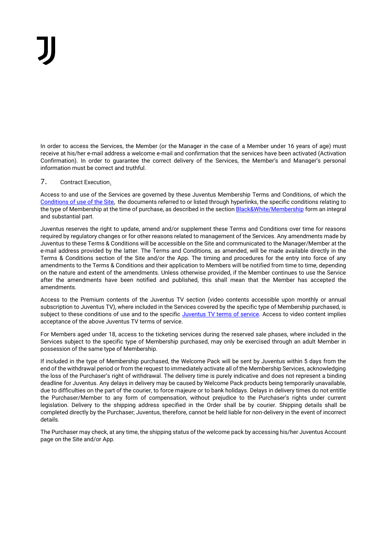In order to access the Services, the Member (or the Manager in the case of a Member under 16 years of age) must receive at his/her e-mail address a welcome e-mail and confirmation that the services have been activated (Activation Confirmation). In order to guarantee the correct delivery of the Services, the Member's and Manager's personal information must be correct and truthful.

# 7. Contract Execution.

Access to and use of the Services are governed by these Juventus Membership Terms and Conditions, of which the [Conditions of use of the Site,](https://www.juventus.com/it/termini-e-condizioni/) the documents referred to or listed through hyperlinks, the specific conditions relating to the type of Membership at the time of purchase, as described in the section **Black&White/Membership** form an integral and substantial part.

Juventus reserves the right to update, amend and/or supplement these Terms and Conditions over time for reasons required by regulatory changes or for other reasons related to management of the Services. Any amendments made by Juventus to these Terms & Conditions will be accessible on the Site and communicated to the Manager/Member at the e-mail address provided by the latter. The Terms and Conditions, as amended, will be made available directly in the Terms & Conditions section of the Site and/or the App. The timing and procedures for the entry into force of any amendments to the Terms & Conditions and their application to Members will be notified from time to time, depending on the nature and extent of the amendments. Unless otherwise provided, if the Member continues to use the Service after the amendments have been notified and published, this shall mean that the Member has accepted the amendments.

Access to the Premium contents of the Juventus TV section (video contents accessible upon monthly or annual subscription to Juventus TV), where included in the Services covered by the specific type of Membership purchased, is subject to these conditions of use and to the specific [Juventus TV terms of service.](https://www.juventus.com/it/termini-e-condizioni/) Access to video content implies acceptance of the above Juventus TV terms of service.

For Members aged under 18, access to the ticketing services during the reserved sale phases, where included in the Services subject to the specific type of Membership purchased, may only be exercised through an adult Member in possession of the same type of Membership.

If included in the type of Membership purchased, the Welcome Pack will be sent by Juventus within 5 days from the end of the withdrawal period or from the request to immediately activate all of the Membership Services, acknowledging the loss of the Purchaser's right of withdrawal. The delivery time is purely indicative and does not represent a binding deadline for Juventus. Any delays in delivery may be caused by Welcome Pack products being temporarily unavailable, due to difficulties on the part of the courier, to force majeure or to bank holidays. Delays in delivery times do not entitle the Purchaser/Member to any form of compensation, without prejudice to the Purchaser's rights under current legislation. Delivery to the shipping address specified in the Order shall be by courier. Shipping details shall be completed directly by the Purchaser; Juventus, therefore, cannot be held liable for non-delivery in the event of incorrect details.

The Purchaser may check, at any time, the shipping status of the welcome pack by accessing his/her Juventus Account page on the Site and/or App.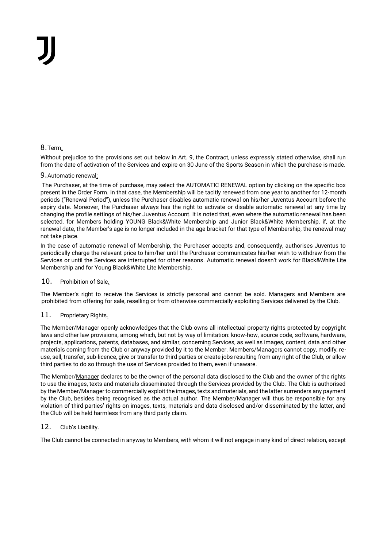# 8.Term.

Without prejudice to the provisions set out below in Art. 9, the Contract, unless expressly stated otherwise, shall run from the date of activation of the Services and expire on 30 June of the Sports Season in which the purchase is made.

## 9.Automatic renewal:

The Purchaser, at the time of purchase, may select the AUTOMATIC RENEWAL option by clicking on the specific box present in the Order Form. In that case, the Membership will be tacitly renewed from one year to another for 12-month periods ("Renewal Period"), unless the Purchaser disables automatic renewal on his/her Juventus Account before the expiry date. Moreover, the Purchaser always has the right to activate or disable automatic renewal at any time by changing the profile settings of his/her Juventus Account. It is noted that, even where the automatic renewal has been selected, for Members holding YOUNG Black&White Membership and Junior Black&White Membership, if, at the renewal date, the Member's age is no longer included in the age bracket for that type of Membership, the renewal may not take place.

In the case of automatic renewal of Membership, the Purchaser accepts and, consequently, authorises Juventus to periodically charge the relevant price to him/her until the Purchaser communicates his/her wish to withdraw from the Services or until the Services are interrupted for other reasons. Automatic renewal doesn't work for Black&White Lite Membership and for Young Black&White Lite Membership.

# 10. Prohibition of Sale.

The Member's right to receive the Services is strictly personal and cannot be sold. Managers and Members are prohibited from offering for sale, reselling or from otherwise commercially exploiting Services delivered by the Club.

## 11. Proprietary Rights.

The Member/Manager openly acknowledges that the Club owns all intellectual property rights protected by copyright laws and other law provisions, among which, but not by way of limitation: know-how, source code, software, hardware, projects, applications, patents, databases, and similar, concerning Services, as well as images, content, data and other materials coming from the Club or anyway provided by it to the Member. Members/Managers cannot copy, modify, reuse, sell, transfer, sub-licence, give or transfer to third parties or create jobs resulting from any right of the Club, or allow third parties to do so through the use of Services provided to them, even if unaware.

The Member/Manager declares to be the owner of the personal data disclosed to the Club and the owner of the rights to use the images, texts and materials disseminated through the Services provided by the Club. The Club is authorised by the Member/Manager to commercially exploit the images, texts and materials, and the latter surrenders any payment by the Club, besides being recognised as the actual author. The Member/Manager will thus be responsible for any violation of third parties' rights on images, texts, materials and data disclosed and/or disseminated by the latter, and the Club will be held harmless from any third party claim.

## 12. Club's Liability.

The Club cannot be connected in anyway to Members, with whom it will not engage in any kind of direct relation, except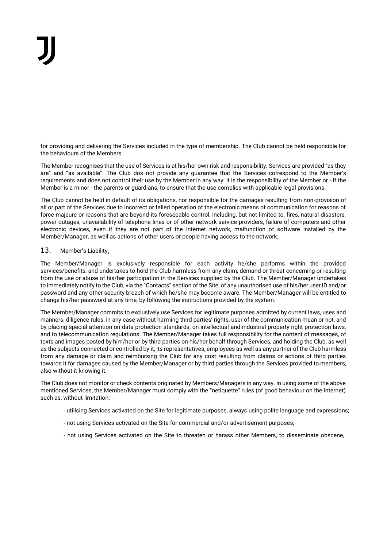for providing and delivering the Services included in the type of membership. The Club cannot be held responsible for the behaviours of the Members.

The Member recognises that the use of Services is at his/her own risk and responsibility. Services are provided "as they are" and "as available". The Club dos not provide any guarantee that the Services correspond to the Member's requirements and does not control their use by the Member in any way: it is the responsibility of the Member or - if the Member is a minor - the parents or guardians, to ensure that the use complies with applicable legal provisions.

The Club cannot be held in default of its obligations, nor responsible for the damages resulting from non-provision of all or part of the Services due to incorrect or failed operation of the electronic means of communication for reasons of force majeure or reasons that are beyond its foreseeable control, including, but not limited to, fires, natural disasters, power outages, unavailability of telephone lines or of other network service providers, failure of computers and other electronic devices, even if they are not part of the Internet network, malfunction of software installed by the Member/Manager, as well as actions of other users or people having access to the network.

## 13. Member's Liability.

The Member/Manager is exclusively responsible for each activity he/she performs within the provided services/benefits, and undertakes to hold the Club harmless from any claim, demand or threat concerning or resulting from the use or abuse of his/her participation in the Services supplied by the Club. The Member/Manager undertakes to immediately notify to the Club, via the "Contacts" section of the Site, of any unauthorised use of his/her user ID and/or password and any other security breach of which he/she may become aware. The Member/Manager will be entitled to change his/her password at any time, by following the instructions provided by the system.

The Member/Manager commits to exclusively use Services for legitimate purposes admitted by current laws, uses and manners, diligence rules, in any case without harming third parties' rights, user of the communication mean or not, and by placing special attention on data protection standards, on intellectual and industrial property right protection laws, and to telecommunication regulations. The Member/Manager takes full responsibility for the content of messages, of texts and images posted by him/her or by third parties on his/her behalf through Services, and holding the Club, as well as the subjects connected or controlled by it, its representatives, employees as well as any partner of the Club harmless from any damage or claim and reimbursing the Club for any cost resulting from claims or actions of third parties towards it for damages caused by the Member/Manager or by third parties through the Services provided to members, also without it knowing it.

The Club does not monitor or check contents originated by Members/Managers in any way. In using some of the above mentioned Services, the Member/Manager must comply with the "netiquette" rules (of good behaviour on the Internet) such as, without limitation:

- utilising Services activated on the Site for legitimate purposes, always using polite language and expressions;
- not using Services activated on the Site for commercial and/or advertisement purposes;
- not using Services activated on the Site to threaten or harass other Members, to disseminate obscene,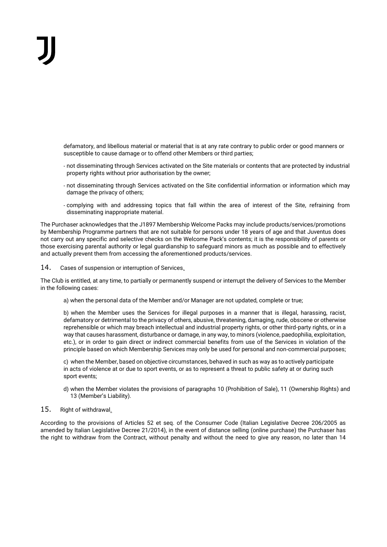defamatory, and libellous material or material that is at any rate contrary to public order or good manners or susceptible to cause damage or to offend other Members or third parties;

- not disseminating through Services activated on the Site materials or contents that are protected by industrial property rights without prior authorisation by the owner;
- not disseminating through Services activated on the Site confidential information or information which may damage the privacy of others;
- complying with and addressing topics that fall within the area of interest of the Site, refraining from disseminating inappropriate material.

The Purchaser acknowledges that the J1897 Membership Welcome Packs may include products/services/promotions by Membership Programme partners that are not suitable for persons under 18 years of age and that Juventus does not carry out any specific and selective checks on the Welcome Pack's contents; it is the responsibility of parents or those exercising parental authority or legal guardianship to safeguard minors as much as possible and to effectively and actually prevent them from accessing the aforementioned products/services.

14. Cases of suspension or interruption of Services.

The Club is entitled, at any time, to partially or permanently suspend or interrupt the delivery of Services to the Member in the following cases:

a) when the personal data of the Member and/or Manager are not updated, complete or true;

b) when the Member uses the Services for illegal purposes in a manner that is illegal, harassing, racist, defamatory or detrimental to the privacy of others, abusive, threatening, damaging, rude, obscene or otherwise reprehensible or which may breach intellectual and industrial property rights, or other third-party rights, or in a way that causes harassment, disturbance or damage, in any way, to minors (violence, paedophilia, exploitation, etc.), or in order to gain direct or indirect commercial benefits from use of the Services in violation of the principle based on which Membership Services may only be used for personal and non-commercial purposes;

c) when the Member, based on objective circumstances, behaved in such as way as to actively participate in acts of violence at or due to sport events, or as to represent a threat to public safety at or during such sport events;

d) when the Member violates the provisions of paragraphs 10 (Prohibition of Sale), 11 (Ownership Rights) and 13 (Member's Liability).

## 15. Right of withdrawal.

According to the provisions of Articles 52 et seq. of the Consumer Code (Italian Legislative Decree 206/2005 as amended by Italian Legislative Decree 21/2014), in the event of distance selling (online purchase) the Purchaser has the right to withdraw from the Contract, without penalty and without the need to give any reason, no later than 14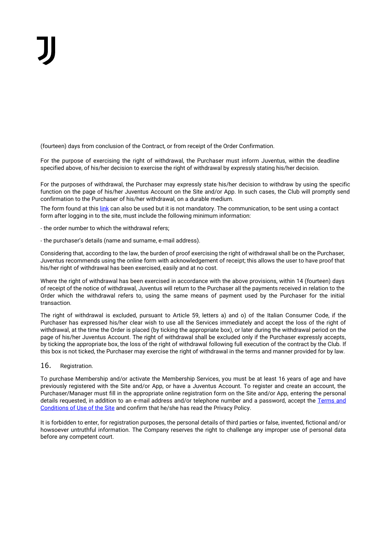(fourteen) days from conclusion of the Contract, or from receipt of the Order Confirmation.

For the purpose of exercising the right of withdrawal, the Purchaser must inform Juventus, within the deadline specified above, of his/her decision to exercise the right of withdrawal by expressly stating his/her decision.

For the purposes of withdrawal, the Purchaser may expressly state his/her decision to withdraw by using the specific function on the page of his/her Juventus Account on the Site and/or App. In such cases, the Club will promptly send confirmation to the Purchaser of his/her withdrawal, on a durable medium.

The form found at thi[s link](https://www.juventus.com/it/termini-e-condizioni/) can also be used but it is not mandatory. The communication, to be sent using a contact form after logging in to the site, must include the following minimum information:

- the order number to which the withdrawal refers;

- the purchaser's details (name and surname, e-mail address).

Considering that, according to the law, the burden of proof exercising the right of withdrawal shall be on the Purchaser, Juventus recommends using the online form with acknowledgement of receipt; this allows the user to have proof that his/her right of withdrawal has been exercised, easily and at no cost.

Where the right of withdrawal has been exercised in accordance with the above provisions, within 14 (fourteen) days of receipt of the notice of withdrawal, Juventus will return to the Purchaser all the payments received in relation to the Order which the withdrawal refers to, using the same means of payment used by the Purchaser for the initial transaction.

The right of withdrawal is excluded, pursuant to Article 59, letters a) and o) of the Italian Consumer Code, if the Purchaser has expressed his/her clear wish to use all the Services immediately and accept the loss of the right of withdrawal, at the time the Order is placed (by ticking the appropriate box), or later during the withdrawal period on the page of his/her Juventus Account. The right of withdrawal shall be excluded only if the Purchaser expressly accepts, by ticking the appropriate box, the loss of the right of withdrawal following full execution of the contract by the Club. If this box is not ticked, the Purchaser may exercise the right of withdrawal in the terms and manner provided for by law.

16. Registration.

To purchase Membership and/or activate the Membership Services, you must be at least 16 years of age and have previously registered with the Site and/or App, or have a Juventus Account. To register and create an account, the Purchaser/Manager must fill in the appropriate online registration form on the Site and/or App, entering the personal details requested, in addition to an e-mail address and/or telephone number and a password, accept the Terms and [Conditions of Use of the Site](https://www.juventus.com/it/termini-e-condizioni/) and confirm that he/she has read the Privacy Policy.

It is forbidden to enter, for registration purposes, the personal details of third parties or false, invented, fictional and/or howsoever untruthful information. The Company reserves the right to challenge any improper use of personal data before any competent court.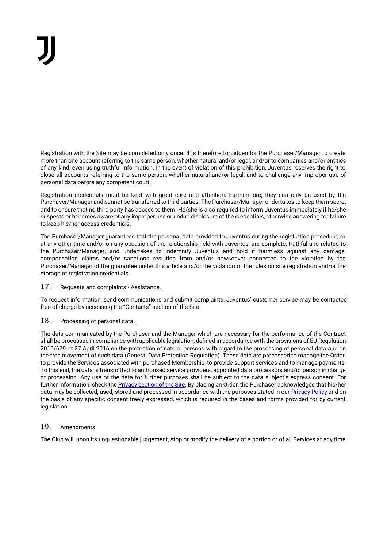Registration with the Site may be completed only once. It is therefore forbidden for the Purchaser/Manager to create more than one account referring to the same person, whether natural and/or legal, and/or to companies and/or entities of any kind, even using truthful information. In the event of violation of this prohibition, Juventus reserves the right to close all accounts referring to the same person, whether natural and/or legal, and to challenge any improper use of personal data before any competent court.

Registration credentials must be kept with great care and attention. Furthermore, they can only be used by the Purchaser/Manager and cannot be transferred to third parties. The Purchaser/Manager undertakes to keep them secret and to ensure that no third party has access to them. He/she is also required to inform Juventus immediately if he/she suspects or becomes aware of any improper use or undue disclosure of the credentials, otherwise answering for failure to keep his/her access credentials.

The Purchaser/Manager guarantees that the personal data provided to Juventus during the registration procedure, or at any other time and/or on any occasion of the relationship held with Juventus, are complete, truthful and related to the Purchaser/Manager, and undertakes to indemnify Juventus and hold it harmless against any damage, compensation claims and/or sanctions resulting from and/or howsoever connected to the violation by the Purchaser/Manager of the guarantee under this article and/or the violation of the rules on site registration and/or the storage of registration credentials.

17. Requests and complaints - Assistance.

To request information, send communications and submit complaints, Juventus' customer service may be contacted free of charge by accessing the "Contacts" section of the Site.

# 18. Processing of personal data.

The data communicated by the Purchaser and the Manager which are necessary for the performance of the Contract shall be processed in compliance with applicable legislation, defined in accordance with the provisions of EU Regulation 2016/679 of 27 April 2016 on the protection of natural persons with regard to the processing of personal data and on the free movement of such data (General Data Protection Regulation). These data are processed to manage the Order, to provide the Services associated with purchased Membership, to provide support services and to manage payments. To this end, the data is transmitted to authorised service providers, appointed data processors and/or person in charge of processing. Any use of the data for further purposes shall be subject to the data subject's express consent. For further information, check th[e Privacy section of the Site.](https://www.juventus.com/it/privacy) By placing an Order, the Purchaser acknowledges that his/her data may be collected, used, stored and processed in accordance with the purposes stated in ou[r Privacy Policy](https://www.juventus.com/it/privacy) and on the basis of any specific consent freely expressed, which is required in the cases and forms provided for by current legislation.

# 19. Amendments.

The Club will, upon its unquestionable judgement, stop or modify the delivery of a portion or of all Services at any time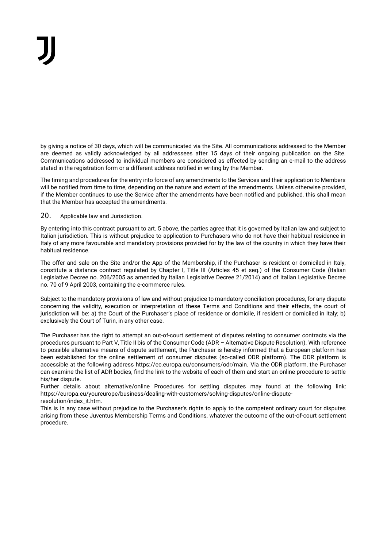by giving a notice of 30 days, which will be communicated via the Site. All communications addressed to the Member are deemed as validly acknowledged by all addressees after 15 days of their ongoing publication on the Site. Communications addressed to individual members are considered as effected by sending an e-mail to the address stated in the registration form or a different address notified in writing by the Member.

The timing and procedures for the entry into force of any amendments to the Services and their application to Members will be notified from time to time, depending on the nature and extent of the amendments. Unless otherwise provided, if the Member continues to use the Service after the amendments have been notified and published, this shall mean that the Member has accepted the amendments.

## 20. Applicable law and Jurisdiction.

By entering into this contract pursuant to art. 5 above, the parties agree that it is governed by Italian law and subject to Italian jurisdiction. This is without prejudice to application to Purchasers who do not have their habitual residence in Italy of any more favourable and mandatory provisions provided for by the law of the country in which they have their habitual residence.

The offer and sale on the Site and/or the App of the Membership, if the Purchaser is resident or domiciled in Italy, constitute a distance contract regulated by Chapter I, Title III (Articles 45 et seq.) of the Consumer Code (Italian Legislative Decree no. 206/2005 as amended by Italian Legislative Decree 21/2014) and of Italian Legislative Decree no. 70 of 9 April 2003, containing the e-commerce rules.

Subject to the mandatory provisions of law and without prejudice to mandatory conciliation procedures, for any dispute concerning the validity, execution or interpretation of these Terms and Conditions and their effects, the court of jurisdiction will be: a) the Court of the Purchaser's place of residence or domicile, if resident or domiciled in Italy; b) exclusively the Court of Turin, in any other case.

The Purchaser has the right to attempt an out-of-court settlement of disputes relating to consumer contracts via the procedures pursuant to Part V, Title II bis of the Consumer Code (ADR – Alternative Dispute Resolution). With reference to possible alternative means of dispute settlement, the Purchaser is hereby informed that a European platform has been established for the online settlement of consumer disputes (so-called ODR platform). The ODR platform is accessible at the following address https://ec.europa.eu/consumers/odr/main. Via the ODR platform, the Purchaser can examine the list of ADR bodies, find the link to the website of each of them and start an online procedure to settle his/her dispute.

Further details about alternative/online Procedures for settling disputes may found at the following link: https://europa.eu/youreurope/business/dealing-with-customers/solving-disputes/online-disputeresolution/index\_it.htm.

This is in any case without prejudice to the Purchaser's rights to apply to the competent ordinary court for disputes arising from these Juventus Membership Terms and Conditions, whatever the outcome of the out-of-court settlement procedure.